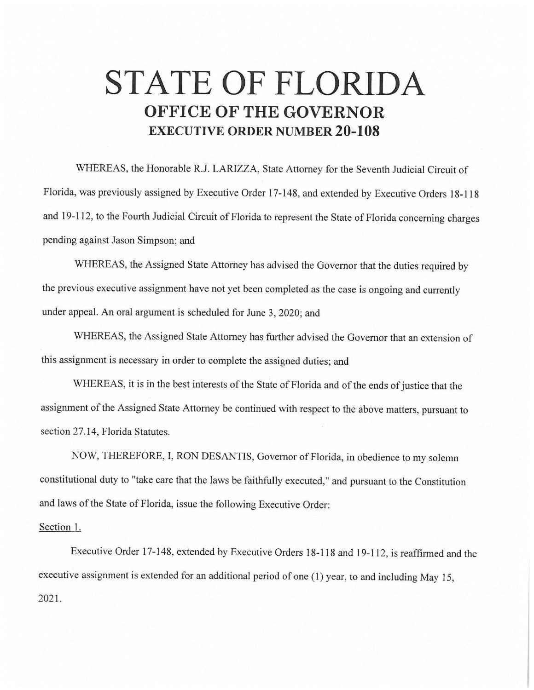## **STATE OF FLORIDA OFFICE OF THE GOVERNOR EXECUTIVE ORDER NUMBER 20-108**

WHEREAS, the Honorable R.J. LARJZZA, State Attorney for the Seventh Judicial Circuit of Florida, was previously assigned by Executive Order 17-148, and extended by Executive Orders 18-118 and 19-112, to the Fourth Judicial Circuit of Florida to represent the State of Florida concerning charges pending against Jason Simpson; and

WHEREAS, the Assigned State Attorney has advised the Governor that the duties required by the previous executive assignment have not yet been completed as the case is ongoing and currently under appeal. An oral argument is scheduled for June 3, 2020; and

WHEREAS, the Assigned State Attorney has further advised the Governor that an extension of this assignment is necessary in order to complete the assigned duties; and

WHEREAS, it is in the best interests of the State of Florida and of the ends of justice that the assignment of the Assigned State Attorney be continued with respect to the above matters, pursuant to section 27.14, Florida Statutes.

NOW, THEREFORE, I, RON DESANTIS, Governor of Florida, in obedience to my solemn constitutional duty to "take care that the laws be faithfully executed," and pursuant to the Constitution and laws of the State of Florida, issue the following Executive Order:

## Section 1.

Executive Order 17-148, extended by Executive Orders 18-118 and 19-112, is reaffirmed and the executive assignment is extended for an additional period of one (I) year, to and including May 15, 2021.